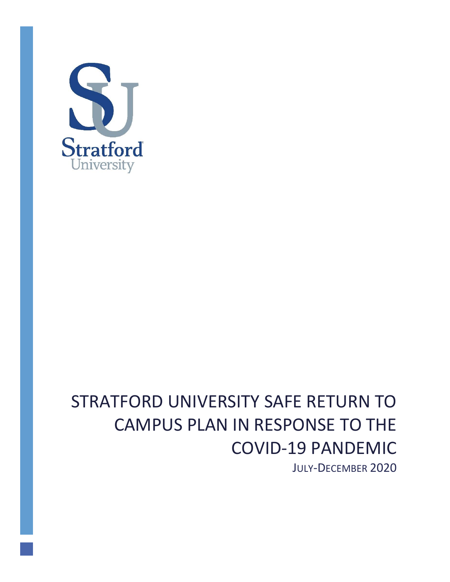

# STRATFORD UNIVERSITY SAFE RETURN TO CAMPUS PLAN IN RESPONSE TO THE COVID-19 PANDEMIC

JULY-DECEMBER 2020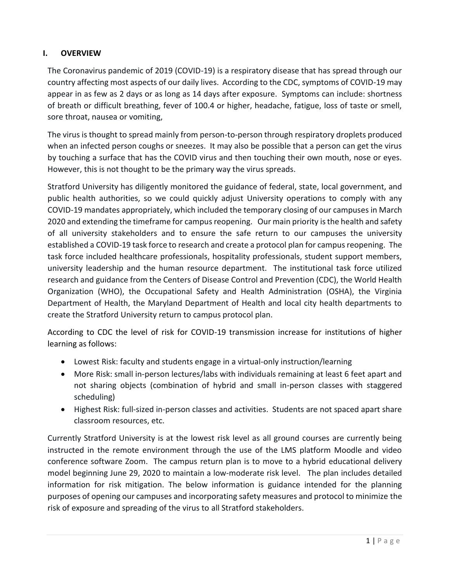## **I. OVERVIEW**

The Coronavirus pandemic of 2019 (COVID-19) is a respiratory disease that has spread through our country affecting most aspects of our daily lives. According to the CDC, symptoms of COVID-19 may appear in as few as 2 days or as long as 14 days after exposure. Symptoms can include: shortness of breath or difficult breathing, fever of 100.4 or higher, headache, fatigue, loss of taste or smell, sore throat, nausea or vomiting,

The virus is thought to spread mainly from person-to-person through respiratory droplets produced when an infected person coughs or sneezes. It may also be possible that a person can get the virus by touching a surface that has the COVID virus and then touching their own mouth, nose or eyes. However, this is not thought to be the primary way the virus spreads.

Stratford University has diligently monitored the guidance of federal, state, local government, and public health authorities, so we could quickly adjust University operations to comply with any COVID-19 mandates appropriately, which included the temporary closing of our campuses in March 2020 and extending the timeframe for campus reopening. Our main priority is the health and safety of all university stakeholders and to ensure the safe return to our campuses the university established a COVID-19 task force to research and create a protocol plan for campus reopening. The task force included healthcare professionals, hospitality professionals, student support members, university leadership and the human resource department. The institutional task force utilized research and guidance from the Centers of Disease Control and Prevention (CDC), the World Health Organization (WHO), the Occupational Safety and Health Administration (OSHA), the Virginia Department of Health, the Maryland Department of Health and local city health departments to create the Stratford University return to campus protocol plan.

According to CDC the level of risk for COVID-19 transmission increase for institutions of higher learning as follows:

- Lowest Risk: faculty and students engage in a virtual-only instruction/learning
- More Risk: small in-person lectures/labs with individuals remaining at least 6 feet apart and not sharing objects (combination of hybrid and small in-person classes with staggered scheduling)
- Highest Risk: full-sized in-person classes and activities. Students are not spaced apart share classroom resources, etc.

Currently Stratford University is at the lowest risk level as all ground courses are currently being instructed in the remote environment through the use of the LMS platform Moodle and video conference software Zoom. The campus return plan is to move to a hybrid educational delivery model beginning June 29, 2020 to maintain a low-moderate risk level. The plan includes detailed information for risk mitigation. The below information is guidance intended for the planning purposes of opening our campuses and incorporating safety measures and protocol to minimize the risk of exposure and spreading of the virus to all Stratford stakeholders.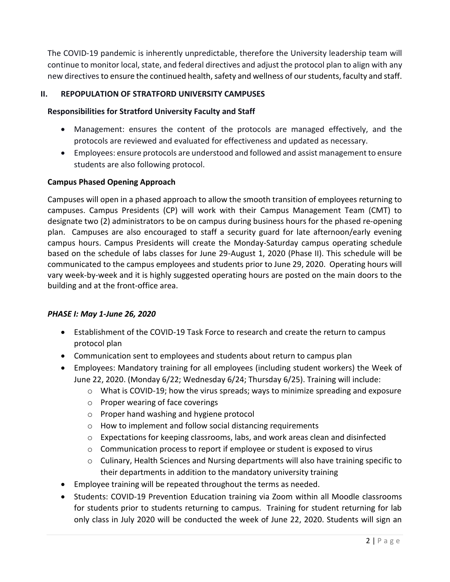The COVID-19 pandemic is inherently unpredictable, therefore the University leadership team will continue to monitor local, state, and federal directives and adjust the protocol plan to align with any new directives to ensure the continued health, safety and wellness of our students, faculty and staff.

## **II. REPOPULATION OF STRATFORD UNIVERSITY CAMPUSES**

## **Responsibilities for Stratford University Faculty and Staff**

- Management: ensures the content of the protocols are managed effectively, and the protocols are reviewed and evaluated for effectiveness and updated as necessary.
- Employees: ensure protocols are understood and followed and assist management to ensure students are also following protocol.

#### **Campus Phased Opening Approach**

Campuses will open in a phased approach to allow the smooth transition of employees returning to campuses. Campus Presidents (CP) will work with their Campus Management Team (CMT) to designate two (2) administrators to be on campus during business hours for the phased re-opening plan. Campuses are also encouraged to staff a security guard for late afternoon/early evening campus hours. Campus Presidents will create the Monday-Saturday campus operating schedule based on the schedule of labs classes for June 29-August 1, 2020 (Phase II). This schedule will be communicated to the campus employees and students prior to June 29, 2020. Operating hours will vary week-by-week and it is highly suggested operating hours are posted on the main doors to the building and at the front-office area.

#### *PHASE I: May 1-June 26, 2020*

- Establishment of the COVID-19 Task Force to research and create the return to campus protocol plan
- Communication sent to employees and students about return to campus plan
- Employees: Mandatory training for all employees (including student workers) the Week of June 22, 2020. (Monday 6/22; Wednesday 6/24; Thursday 6/25). Training will include:
	- $\circ$  What is COVID-19; how the virus spreads; ways to minimize spreading and exposure
	- o Proper wearing of face coverings
	- o Proper hand washing and hygiene protocol
	- o How to implement and follow social distancing requirements
	- $\circ$  Expectations for keeping classrooms, labs, and work areas clean and disinfected
	- $\circ$  Communication process to report if employee or student is exposed to virus
	- o Culinary, Health Sciences and Nursing departments will also have training specific to their departments in addition to the mandatory university training
- Employee training will be repeated throughout the terms as needed.
- Students: COVID-19 Prevention Education training via Zoom within all Moodle classrooms for students prior to students returning to campus. Training for student returning for lab only class in July 2020 will be conducted the week of June 22, 2020. Students will sign an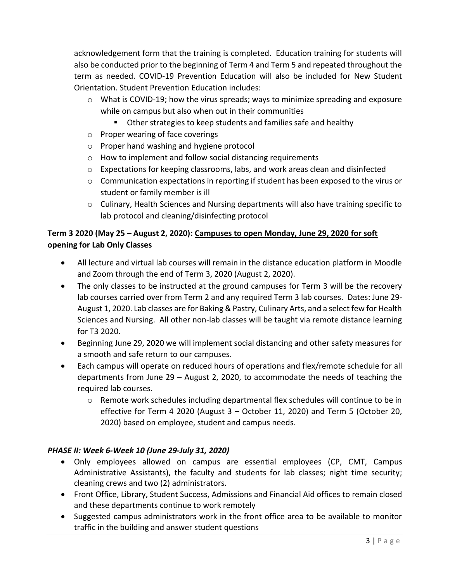acknowledgement form that the training is completed. Education training for students will also be conducted prior to the beginning of Term 4 and Term 5 and repeated throughout the term as needed. COVID-19 Prevention Education will also be included for New Student Orientation. Student Prevention Education includes:

- $\circ$  What is COVID-19; how the virus spreads; ways to minimize spreading and exposure while on campus but also when out in their communities
	- **Other strategies to keep students and families safe and healthy**
- o Proper wearing of face coverings
- o Proper hand washing and hygiene protocol
- o How to implement and follow social distancing requirements
- o Expectations for keeping classrooms, labs, and work areas clean and disinfected
- $\circ$  Communication expectations in reporting if student has been exposed to the virus or student or family member is ill
- o Culinary, Health Sciences and Nursing departments will also have training specific to lab protocol and cleaning/disinfecting protocol

# **Term 3 2020 (May 25 – August 2, 2020): Campuses to open Monday, June 29, 2020 for soft opening for Lab Only Classes**

- All lecture and virtual lab courses will remain in the distance education platform in Moodle and Zoom through the end of Term 3, 2020 (August 2, 2020).
- The only classes to be instructed at the ground campuses for Term 3 will be the recovery lab courses carried over from Term 2 and any required Term 3 lab courses. Dates: June 29- August 1, 2020. Lab classes are for Baking & Pastry, Culinary Arts, and a select few for Health Sciences and Nursing. All other non-lab classes will be taught via remote distance learning for T3 2020.
- Beginning June 29, 2020 we will implement social distancing and other safety measures for a smooth and safe return to our campuses.
- Each campus will operate on reduced hours of operations and flex/remote schedule for all departments from June 29 – August 2, 2020, to accommodate the needs of teaching the required lab courses.
	- o Remote work schedules including departmental flex schedules will continue to be in effective for Term 4 2020 (August 3 – October 11, 2020) and Term 5 (October 20, 2020) based on employee, student and campus needs.

# *PHASE II: Week 6-Week 10 (June 29-July 31, 2020)*

- Only employees allowed on campus are essential employees (CP, CMT, Campus Administrative Assistants), the faculty and students for lab classes; night time security; cleaning crews and two (2) administrators.
- Front Office, Library, Student Success, Admissions and Financial Aid offices to remain closed and these departments continue to work remotely
- Suggested campus administrators work in the front office area to be available to monitor traffic in the building and answer student questions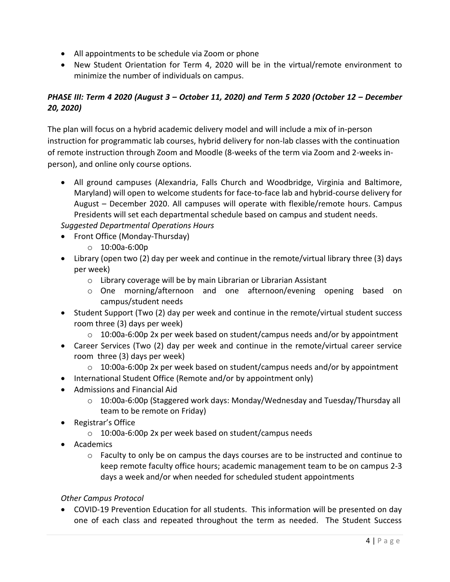- All appointments to be schedule via Zoom or phone
- New Student Orientation for Term 4, 2020 will be in the virtual/remote environment to minimize the number of individuals on campus.

# *PHASE III: Term 4 2020 (August 3 – October 11, 2020) and Term 5 2020 (October 12 – December 20, 2020)*

The plan will focus on a hybrid academic delivery model and will include a mix of in-person instruction for programmatic lab courses, hybrid delivery for non-lab classes with the continuation of remote instruction through Zoom and Moodle (8-weeks of the term via Zoom and 2-weeks inperson), and online only course options.

 All ground campuses (Alexandria, Falls Church and Woodbridge, Virginia and Baltimore, Maryland) will open to welcome students for face-to-face lab and hybrid-course delivery for August – December 2020. All campuses will operate with flexible/remote hours. Campus Presidents will set each departmental schedule based on campus and student needs.

*Suggested Departmental Operations Hours*

- Front Office (Monday-Thursday)
	- o 10:00a-6:00p
- Library (open two (2) day per week and continue in the remote/virtual library three (3) days per week)
	- o Library coverage will be by main Librarian or Librarian Assistant
	- o One morning/afternoon and one afternoon/evening opening based on campus/student needs
- Student Support (Two (2) day per week and continue in the remote/virtual student success room three (3) days per week)
	- $\circ$  10:00a-6:00p 2x per week based on student/campus needs and/or by appointment
- Career Services (Two (2) day per week and continue in the remote/virtual career service room three (3) days per week)
	- $\circ$  10:00a-6:00p 2x per week based on student/campus needs and/or by appointment
- International Student Office (Remote and/or by appointment only)
- Admissions and Financial Aid
	- $\circ$  10:00a-6:00p (Staggered work days: Monday/Wednesday and Tuesday/Thursday all team to be remote on Friday)
- Registrar's Office
	- o 10:00a-6:00p 2x per week based on student/campus needs
- Academics
	- $\circ$  Faculty to only be on campus the days courses are to be instructed and continue to keep remote faculty office hours; academic management team to be on campus 2-3 days a week and/or when needed for scheduled student appointments

## *Other Campus Protocol*

 COVID-19 Prevention Education for all students. This information will be presented on day one of each class and repeated throughout the term as needed. The Student Success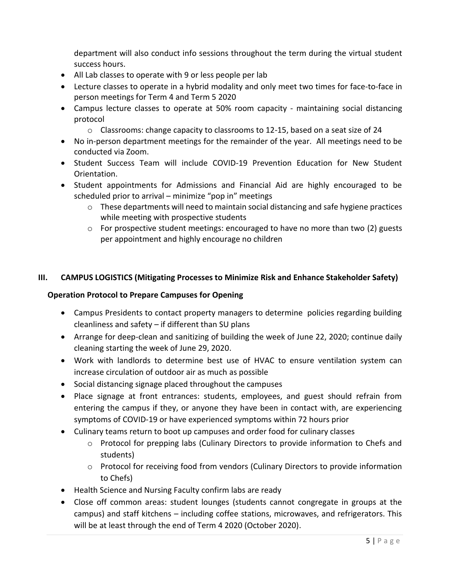department will also conduct info sessions throughout the term during the virtual student success hours.

- All Lab classes to operate with 9 or less people per lab
- Lecture classes to operate in a hybrid modality and only meet two times for face-to-face in person meetings for Term 4 and Term 5 2020
- Campus lecture classes to operate at 50% room capacity maintaining social distancing protocol
	- $\circ$  Classrooms: change capacity to classrooms to 12-15, based on a seat size of 24
- No in-person department meetings for the remainder of the year. All meetings need to be conducted via Zoom.
- Student Success Team will include COVID-19 Prevention Education for New Student Orientation.
- Student appointments for Admissions and Financial Aid are highly encouraged to be scheduled prior to arrival – minimize "pop in" meetings
	- $\circ$  These departments will need to maintain social distancing and safe hygiene practices while meeting with prospective students
	- o For prospective student meetings: encouraged to have no more than two (2) guests per appointment and highly encourage no children

## **III. CAMPUS LOGISTICS (Mitigating Processes to Minimize Risk and Enhance Stakeholder Safety)**

## **Operation Protocol to Prepare Campuses for Opening**

- Campus Presidents to contact property managers to determine policies regarding building cleanliness and safety – if different than SU plans
- Arrange for deep-clean and sanitizing of building the week of June 22, 2020; continue daily cleaning starting the week of June 29, 2020.
- Work with landlords to determine best use of HVAC to ensure ventilation system can increase circulation of outdoor air as much as possible
- Social distancing signage placed throughout the campuses
- Place signage at front entrances: students, employees, and guest should refrain from entering the campus if they, or anyone they have been in contact with, are experiencing symptoms of COVID-19 or have experienced symptoms within 72 hours prior
- Culinary teams return to boot up campuses and order food for culinary classes
	- o Protocol for prepping labs (Culinary Directors to provide information to Chefs and students)
	- o Protocol for receiving food from vendors (Culinary Directors to provide information to Chefs)
- Health Science and Nursing Faculty confirm labs are ready
- Close off common areas: student lounges (students cannot congregate in groups at the campus) and staff kitchens – including coffee stations, microwaves, and refrigerators. This will be at least through the end of Term 4 2020 (October 2020).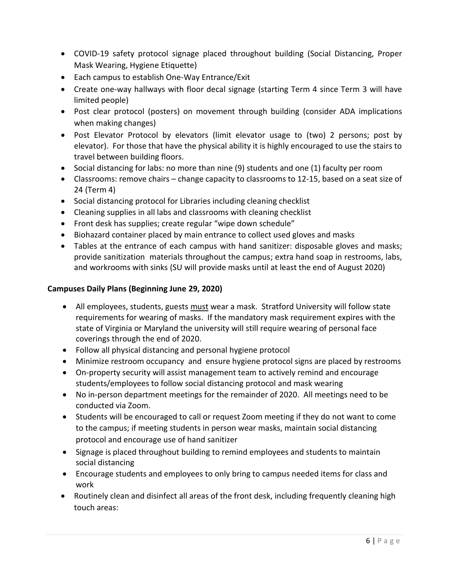- COVID-19 safety protocol signage placed throughout building (Social Distancing, Proper Mask Wearing, Hygiene Etiquette)
- Each campus to establish One-Way Entrance/Exit
- Create one-way hallways with floor decal signage (starting Term 4 since Term 3 will have limited people)
- Post clear protocol (posters) on movement through building (consider ADA implications when making changes)
- Post Elevator Protocol by elevators (limit elevator usage to (two) 2 persons; post by elevator). For those that have the physical ability it is highly encouraged to use the stairs to travel between building floors.
- Social distancing for labs: no more than nine (9) students and one (1) faculty per room
- Classrooms: remove chairs change capacity to classrooms to 12-15, based on a seat size of 24 (Term 4)
- Social distancing protocol for Libraries including cleaning checklist
- Cleaning supplies in all labs and classrooms with cleaning checklist
- Front desk has supplies; create regular "wipe down schedule"
- Biohazard container placed by main entrance to collect used gloves and masks
- Tables at the entrance of each campus with hand sanitizer: disposable gloves and masks; provide sanitization materials throughout the campus; extra hand soap in restrooms, labs, and workrooms with sinks (SU will provide masks until at least the end of August 2020)

## **Campuses Daily Plans (Beginning June 29, 2020)**

- All employees, students, guests must wear a mask. Stratford University will follow state requirements for wearing of masks. If the mandatory mask requirement expires with the state of Virginia or Maryland the university will still require wearing of personal face coverings through the end of 2020.
- Follow all physical distancing and personal hygiene protocol
- Minimize restroom occupancy and ensure hygiene protocol signs are placed by restrooms
- On-property security will assist management team to actively remind and encourage students/employees to follow social distancing protocol and mask wearing
- No in-person department meetings for the remainder of 2020. All meetings need to be conducted via Zoom.
- Students will be encouraged to call or request Zoom meeting if they do not want to come to the campus; if meeting students in person wear masks, maintain social distancing protocol and encourage use of hand sanitizer
- Signage is placed throughout building to remind employees and students to maintain social distancing
- Encourage students and employees to only bring to campus needed items for class and work
- Routinely clean and disinfect all areas of the front desk, including frequently cleaning high touch areas: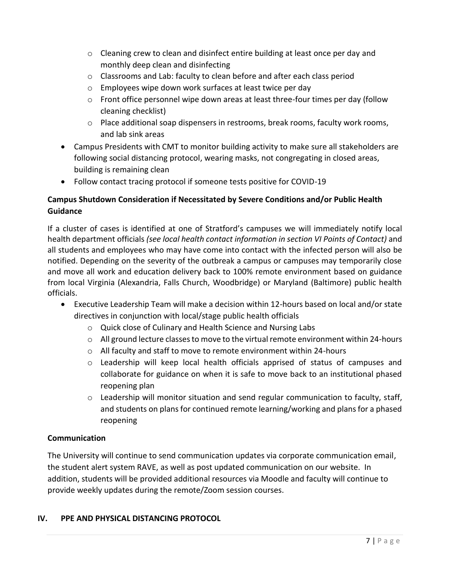- $\circ$  Cleaning crew to clean and disinfect entire building at least once per day and monthly deep clean and disinfecting
- o Classrooms and Lab: faculty to clean before and after each class period
- o Employees wipe down work surfaces at least twice per day
- o Front office personnel wipe down areas at least three-four times per day (follow cleaning checklist)
- $\circ$  Place additional soap dispensers in restrooms, break rooms, faculty work rooms, and lab sink areas
- Campus Presidents with CMT to monitor building activity to make sure all stakeholders are following social distancing protocol, wearing masks, not congregating in closed areas, building is remaining clean
- Follow contact tracing protocol if someone tests positive for COVID-19

# **Campus Shutdown Consideration if Necessitated by Severe Conditions and/or Public Health Guidance**

If a cluster of cases is identified at one of Stratford's campuses we will immediately notify local health department officials *(see local health contact information in section VI Points of Contact)* and all students and employees who may have come into contact with the infected person will also be notified. Depending on the severity of the outbreak a campus or campuses may temporarily close and move all work and education delivery back to 100% remote environment based on guidance from local Virginia (Alexandria, Falls Church, Woodbridge) or Maryland (Baltimore) public health officials.

- Executive Leadership Team will make a decision within 12-hours based on local and/or state directives in conjunction with local/stage public health officials
	- o Quick close of Culinary and Health Science and Nursing Labs
	- o All ground lecture classes to move to the virtual remote environment within 24-hours
	- o All faculty and staff to move to remote environment within 24-hours
	- o Leadership will keep local health officials apprised of status of campuses and collaborate for guidance on when it is safe to move back to an institutional phased reopening plan
	- $\circ$  Leadership will monitor situation and send regular communication to faculty, staff, and students on plans for continued remote learning/working and plans for a phased reopening

## **Communication**

The University will continue to send communication updates via corporate communication email, the student alert system RAVE, as well as post updated communication on our website. In addition, students will be provided additional resources via Moodle and faculty will continue to provide weekly updates during the remote/Zoom session courses.

## **IV. PPE AND PHYSICAL DISTANCING PROTOCOL**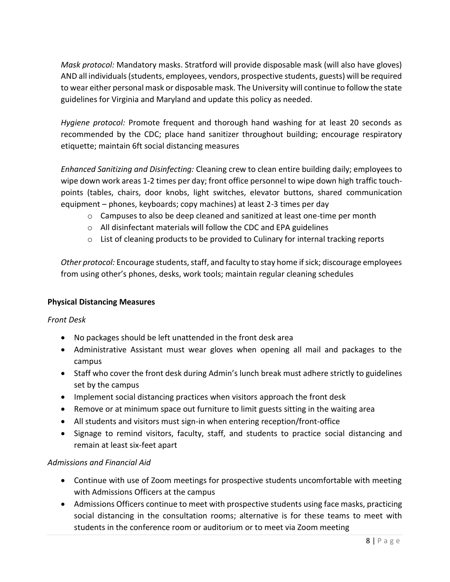*Mask protocol:* Mandatory masks. Stratford will provide disposable mask (will also have gloves) AND all individuals (students, employees, vendors, prospective students, guests) will be required to wear either personal mask or disposable mask. The University will continue to follow the state guidelines for Virginia and Maryland and update this policy as needed.

*Hygiene protocol:* Promote frequent and thorough hand washing for at least 20 seconds as recommended by the CDC; place hand sanitizer throughout building; encourage respiratory etiquette; maintain 6ft social distancing measures

*Enhanced Sanitizing and Disinfecting:* Cleaning crew to clean entire building daily; employees to wipe down work areas 1-2 times per day; front office personnel to wipe down high traffic touchpoints (tables, chairs, door knobs, light switches, elevator buttons, shared communication equipment – phones, keyboards; copy machines) at least 2-3 times per day

- $\circ$  Campuses to also be deep cleaned and sanitized at least one-time per month
- o All disinfectant materials will follow the CDC and EPA guidelines
- $\circ$  List of cleaning products to be provided to Culinary for internal tracking reports

*Other protocol:* Encourage students, staff, and faculty to stay home if sick; discourage employees from using other's phones, desks, work tools; maintain regular cleaning schedules

## **Physical Distancing Measures**

*Front Desk*

- No packages should be left unattended in the front desk area
- Administrative Assistant must wear gloves when opening all mail and packages to the campus
- Staff who cover the front desk during Admin's lunch break must adhere strictly to guidelines set by the campus
- Implement social distancing practices when visitors approach the front desk
- Remove or at minimum space out furniture to limit guests sitting in the waiting area
- All students and visitors must sign-in when entering reception/front-office
- Signage to remind visitors, faculty, staff, and students to practice social distancing and remain at least six-feet apart

## *Admissions and Financial Aid*

- Continue with use of Zoom meetings for prospective students uncomfortable with meeting with Admissions Officers at the campus
- Admissions Officers continue to meet with prospective students using face masks, practicing social distancing in the consultation rooms; alternative is for these teams to meet with students in the conference room or auditorium or to meet via Zoom meeting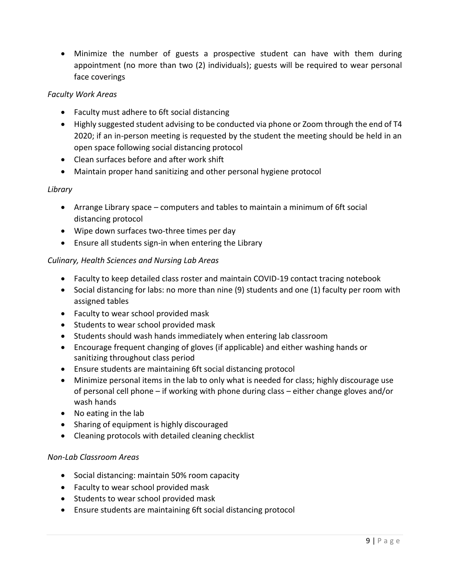Minimize the number of guests a prospective student can have with them during appointment (no more than two (2) individuals); guests will be required to wear personal face coverings

## *Faculty Work Areas*

- Faculty must adhere to 6ft social distancing
- Highly suggested student advising to be conducted via phone or Zoom through the end of T4 2020; if an in-person meeting is requested by the student the meeting should be held in an open space following social distancing protocol
- Clean surfaces before and after work shift
- Maintain proper hand sanitizing and other personal hygiene protocol

#### *Library*

- Arrange Library space computers and tables to maintain a minimum of 6ft social distancing protocol
- Wipe down surfaces two-three times per day
- Ensure all students sign-in when entering the Library

## *Culinary, Health Sciences and Nursing Lab Areas*

- Faculty to keep detailed class roster and maintain COVID-19 contact tracing notebook
- Social distancing for labs: no more than nine (9) students and one (1) faculty per room with assigned tables
- Faculty to wear school provided mask
- Students to wear school provided mask
- Students should wash hands immediately when entering lab classroom
- Encourage frequent changing of gloves (if applicable) and either washing hands or sanitizing throughout class period
- Ensure students are maintaining 6ft social distancing protocol
- Minimize personal items in the lab to only what is needed for class; highly discourage use of personal cell phone – if working with phone during class – either change gloves and/or wash hands
- No eating in the lab
- Sharing of equipment is highly discouraged
- Cleaning protocols with detailed cleaning checklist

#### *Non-Lab Classroom Areas*

- Social distancing: maintain 50% room capacity
- Faculty to wear school provided mask
- Students to wear school provided mask
- Ensure students are maintaining 6ft social distancing protocol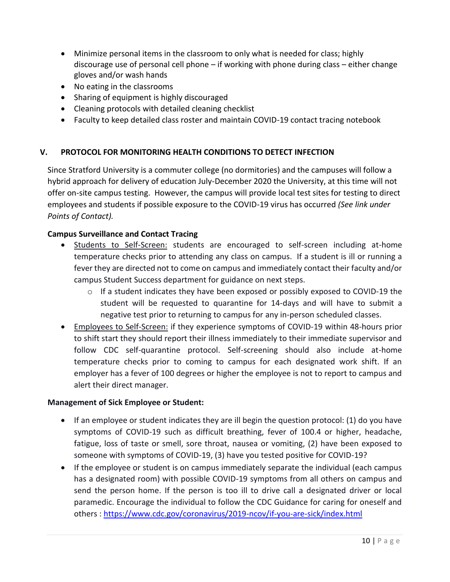- Minimize personal items in the classroom to only what is needed for class; highly discourage use of personal cell phone – if working with phone during class – either change gloves and/or wash hands
- No eating in the classrooms
- Sharing of equipment is highly discouraged
- Cleaning protocols with detailed cleaning checklist
- Faculty to keep detailed class roster and maintain COVID-19 contact tracing notebook

## **V. PROTOCOL FOR MONITORING HEALTH CONDITIONS TO DETECT INFECTION**

Since Stratford University is a commuter college (no dormitories) and the campuses will follow a hybrid approach for delivery of education July-December 2020 the University, at this time will not offer on-site campus testing. However, the campus will provide local test sites for testing to direct employees and students if possible exposure to the COVID-19 virus has occurred *(See link under Points of Contact).*

#### **Campus Surveillance and Contact Tracing**

- Students to Self-Screen: students are encouraged to self-screen including at-home temperature checks prior to attending any class on campus. If a student is ill or running a fever they are directed not to come on campus and immediately contact their faculty and/or campus Student Success department for guidance on next steps.
	- $\circ$  If a student indicates they have been exposed or possibly exposed to COVID-19 the student will be requested to quarantine for 14-days and will have to submit a negative test prior to returning to campus for any in-person scheduled classes.
- Employees to Self-Screen: if they experience symptoms of COVID-19 within 48-hours prior to shift start they should report their illness immediately to their immediate supervisor and follow CDC self-quarantine protocol. Self-screening should also include at-home temperature checks prior to coming to campus for each designated work shift. If an employer has a fever of 100 degrees or higher the employee is not to report to campus and alert their direct manager.

#### **Management of Sick Employee or Student:**

- **If an employee or student indicates they are ill begin the question protocol: (1) do you have** symptoms of COVID-19 such as difficult breathing, fever of 100.4 or higher, headache, fatigue, loss of taste or smell, sore throat, nausea or vomiting, (2) have been exposed to someone with symptoms of COVID-19, (3) have you tested positive for COVID-19?
- If the employee or student is on campus immediately separate the individual (each campus has a designated room) with possible COVID-19 symptoms from all others on campus and send the person home. If the person is too ill to drive call a designated driver or local paramedic. Encourage the individual to follow the CDC Guidance for caring for oneself and others :<https://www.cdc.gov/coronavirus/2019-ncov/if-you-are-sick/index.html>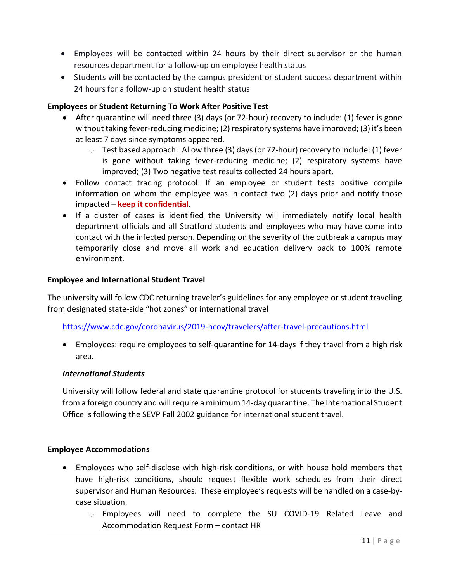- Employees will be contacted within 24 hours by their direct supervisor or the human resources department for a follow-up on employee health status
- Students will be contacted by the campus president or student success department within 24 hours for a follow-up on student health status

#### **Employees or Student Returning To Work After Positive Test**

- After quarantine will need three (3) days (or 72-hour) recovery to include: (1) fever is gone without taking fever-reducing medicine; (2) respiratory systems have improved; (3) it's been at least 7 days since symptoms appeared.
	- $\circ$  Test based approach: Allow three (3) days (or 72-hour) recovery to include: (1) fever is gone without taking fever-reducing medicine; (2) respiratory systems have improved; (3) Two negative test results collected 24 hours apart.
- Follow contact tracing protocol: If an employee or student tests positive compile information on whom the employee was in contact two (2) days prior and notify those impacted – **keep it confidential**.
- If a cluster of cases is identified the University will immediately notify local health department officials and all Stratford students and employees who may have come into contact with the infected person. Depending on the severity of the outbreak a campus may temporarily close and move all work and education delivery back to 100% remote environment.

#### **Employee and International Student Travel**

The university will follow CDC returning traveler's guidelines for any employee or student traveling from designated state-side "hot zones" or international travel

#### <https://www.cdc.gov/coronavirus/2019-ncov/travelers/after-travel-precautions.html>

 Employees: require employees to self-quarantine for 14-days if they travel from a high risk area.

#### *International Students*

University will follow federal and state quarantine protocol for students traveling into the U.S. from a foreign country and will require a minimum 14-day quarantine. The International Student Office is following the SEVP Fall 2002 guidance for international student travel.

#### **Employee Accommodations**

- Employees who self-disclose with high-risk conditions, or with house hold members that have high-risk conditions, should request flexible work schedules from their direct supervisor and Human Resources. These employee's requests will be handled on a case-bycase situation.
	- o Employees will need to complete the SU COVID-19 Related Leave and Accommodation Request Form – contact HR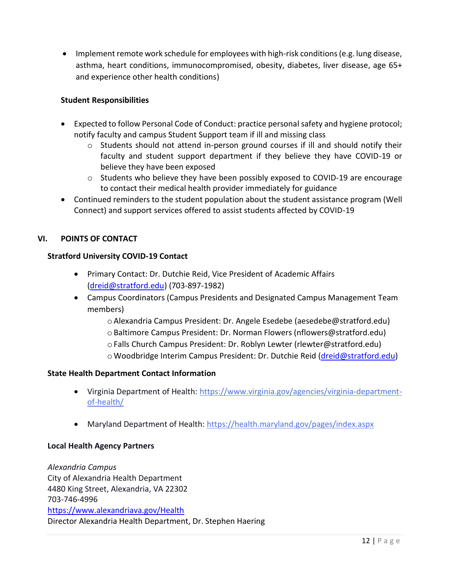Implement remote work schedule for employees with high-risk conditions (e.g. lung disease, asthma, heart conditions, immunocompromised, obesity, diabetes, liver disease, age 65+ and experience other health conditions)

#### **Student Responsibilities**

- Expected to follow Personal Code of Conduct: practice personal safety and hygiene protocol; notify faculty and campus Student Support team if ill and missing class
	- o Students should not attend in-person ground courses if ill and should notify their faculty and student support department if they believe they have COVID-19 or believe they have been exposed
	- o Students who believe they have been possibly exposed to COVID-19 are encourage to contact their medical health provider immediately for guidance
- Continued reminders to the student population about the student assistance program (Well Connect) and support services offered to assist students affected by COVID-19

#### **VI. POINTS OF CONTACT**

#### **Stratford University COVID-19 Contact**

- Primary Contact: Dr. Dutchie Reid, Vice President of Academic Affairs [\(dreid@stratford.edu\)](mailto:dreid@stratford.edu) (703-897-1982)
- Campus Coordinators (Campus Presidents and Designated Campus Management Team members)
	- oAlexandria Campus President: Dr. Angele Esedebe (aesedebe@stratford.edu) oBaltimore Campus President: Dr. Norman Flowers (nflowers@stratford.edu) oFalls Church Campus President: Dr. Roblyn Lewter (rlewter@stratford.edu) o Woodbridge Interim Campus President: Dr. Dutchie Reid [\(dreid@stratford.edu\)](mailto:dreid@stratford.edu)

#### **State Health Department Contact Information**

- Virginia Department of Health: [https://www.virginia.gov/agencies/virginia-department](https://www.virginia.gov/agencies/virginia-department-of-health/)[of-health/](https://www.virginia.gov/agencies/virginia-department-of-health/)
- Maryland Department of Health: <https://health.maryland.gov/pages/index.aspx>

#### **Local Health Agency Partners**

*Alexandria Campus* City of Alexandria Health Department 4480 King Street, Alexandria, VA 22302 703-746-4996 <https://www.alexandriava.gov/Health> Director Alexandria Health Department, Dr. Stephen Haering